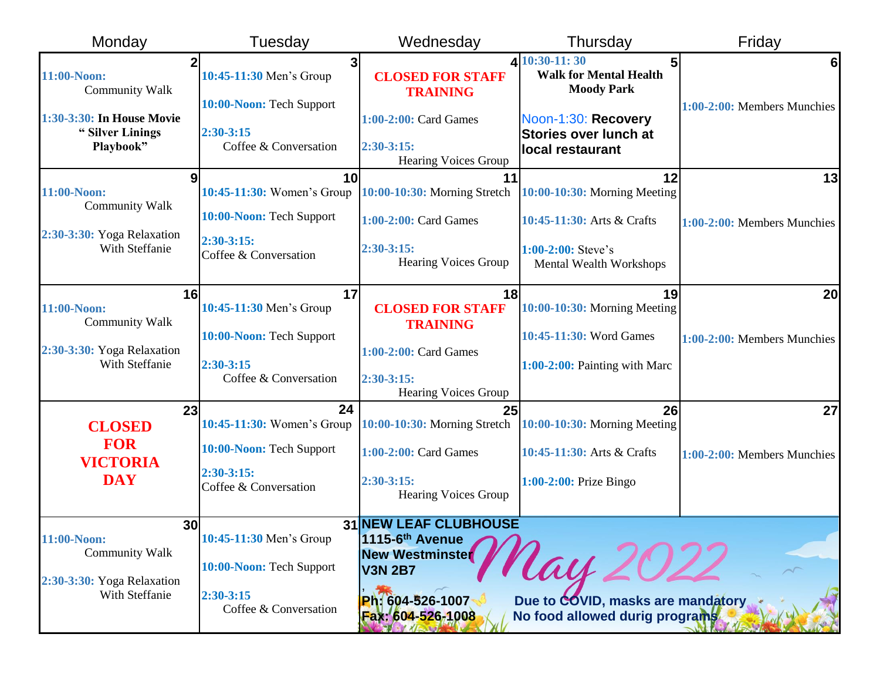| Monday                                                                | Tuesday                                                  | Wednesday                                                               | Thursday                                                                                          | Friday                                        |
|-----------------------------------------------------------------------|----------------------------------------------------------|-------------------------------------------------------------------------|---------------------------------------------------------------------------------------------------|-----------------------------------------------|
| 11:00-Noon:<br><b>Community Walk</b><br>1:30-3:30: In House Movie     | 3<br>10:45-11:30 Men's Group<br>10:00-Noon: Tech Support | <b>CLOSED FOR STAFF</b><br><b>TRAINING</b><br>1:00-2:00: Card Games     | $4 10:30-11:30$<br>5<br><b>Walk for Mental Health</b><br><b>Moody Park</b><br>Noon-1:30: Recovery | 6 <sup>1</sup><br>1:00-2:00: Members Munchies |
| "Silver Linings<br>Playbook"                                          | $2:30-3:15$<br>Coffee & Conversation                     | $2:30-3:15:$<br>Hearing Voices Group                                    | <b>Stories over lunch at</b><br>local restaurant                                                  |                                               |
| 9<br>11:00-Noon:                                                      | 10<br>10:45-11:30: Women's Group                         | 11<br>10:00-10:30: Morning Stretch                                      | 12<br>10:00-10:30: Morning Meeting                                                                | 13                                            |
| <b>Community Walk</b><br>2:30-3:30: Yoga Relaxation                   | 10:00-Noon: Tech Support                                 | 1:00-2:00: Card Games                                                   | 10:45-11:30: Arts & Crafts                                                                        | 1:00-2:00: Members Munchies                   |
| With Steffanie                                                        | $2:30-3:15:$<br>Coffee & Conversation                    | $2:30-3:15:$<br><b>Hearing Voices Group</b>                             | $1:00-2:00$ : Steve's<br>Mental Wealth Workshops                                                  |                                               |
| 16<br>11:00-Noon:                                                     | 17<br>10:45-11:30 Men's Group                            | 18<br><b>CLOSED FOR STAFF</b>                                           | 19<br>10:00-10:30: Morning Meeting                                                                | <b>20</b>                                     |
| <b>Community Walk</b>                                                 | 10:00-Noon: Tech Support                                 | <b>TRAINING</b>                                                         | 10:45-11:30: Word Games                                                                           | 1:00-2:00: Members Munchies                   |
| 2:30-3:30: Yoga Relaxation<br>With Steffanie                          | $2:30-3:15$<br>Coffee & Conversation                     | 1:00-2:00: Card Games<br>$2:30-3:15:$<br><b>Hearing Voices Group</b>    | 1:00-2:00: Painting with Marc                                                                     |                                               |
| 23                                                                    | 24                                                       | 25                                                                      | 26                                                                                                | 27                                            |
| <b>CLOSED</b><br><b>FOR</b><br><b>VICTORIA</b>                        | 10:45-11:30: Women's Group<br>10:00-Noon: Tech Support   | 10:00-10:30: Morning Stretch<br>1:00-2:00: Card Games                   | $10:00-10:30$ : Morning Meeting<br>10:45-11:30: Arts & Crafts                                     | 1:00-2:00: Members Munchies                   |
| <b>DAY</b>                                                            | $2:30-3:15:$<br>Coffee & Conversation                    | $2:30-3:15:$<br><b>Hearing Voices Group</b>                             | $1:00-2:00$ : Prize Bingo                                                                         |                                               |
| 30<br>11:00-Noon:                                                     | 10:45-11:30 Men's Group                                  | <b>31 NEW LEAF CLUBHOUSE</b>                                            |                                                                                                   |                                               |
| <b>Community Walk</b><br>2:30-3:30: Yoga Relaxation<br>With Steffanie | 10:00-Noon: Tech Support                                 | 1115-6 <sup>th</sup> Avenue<br><b>New Westminster</b><br><b>V3N 2B7</b> | lay                                                                                               |                                               |
|                                                                       | $2:30-3:15$<br>Coffee & Conversation                     | Ph: 604-526-1007<br>Fax: 604-526-1008                                   | Due to COVID, masks are mandatory<br>No food allowed durig programs                               |                                               |